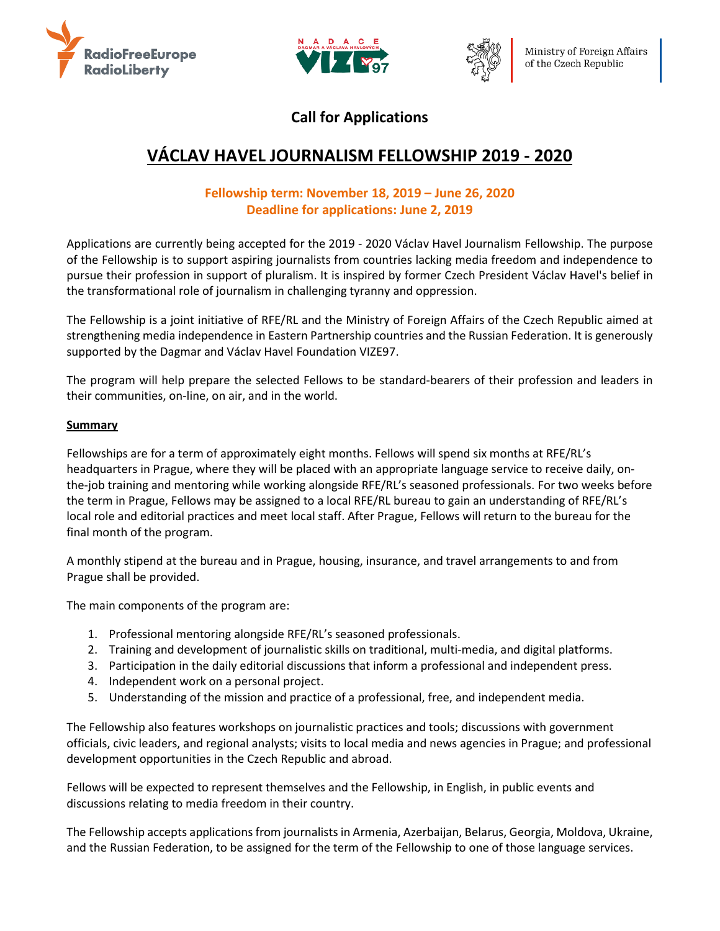





## **Call for Applications**

# **VÁCLAV HAVEL JOURNALISM FELLOWSHIP 2019 - 2020**

## **Fellowship term: November 18, 2019 – June 26, 2020 Deadline for applications: June 2, 2019**

Applications are currently being accepted for the 2019 - 2020 Václav Havel Journalism Fellowship. The purpose of the Fellowship is to support aspiring journalists from countries lacking media freedom and independence to pursue their profession in support of pluralism. It is inspired by former Czech President Václav Havel's belief in the transformational role of journalism in challenging tyranny and oppression.

The Fellowship is a joint initiative of RFE/RL and the Ministry of Foreign Affairs of the Czech Republic aimed at strengthening media independence in Eastern Partnership countries and the Russian Federation. It is generously supported by the Dagmar and Václav Havel Foundation VIZE97.

The program will help prepare the selected Fellows to be standard-bearers of their profession and leaders in their communities, on-line, on air, and in the world.

## **Summary**

Fellowships are for a term of approximately eight months. Fellows will spend six months at RFE/RL's headquarters in Prague, where they will be placed with an appropriate language service to receive daily, onthe-job training and mentoring while working alongside RFE/RL's seasoned professionals. For two weeks before the term in Prague, Fellows may be assigned to a local RFE/RL bureau to gain an understanding of RFE/RL's local role and editorial practices and meet local staff. After Prague, Fellows will return to the bureau for the final month of the program.

A monthly stipend at the bureau and in Prague, housing, insurance, and travel arrangements to and from Prague shall be provided.

The main components of the program are:

- 1. Professional mentoring alongside RFE/RL's seasoned professionals.
- 2. Training and development of journalistic skills on traditional, multi-media, and digital platforms.
- 3. Participation in the daily editorial discussions that inform a professional and independent press.
- 4. Independent work on a personal project.
- 5. Understanding of the mission and practice of a professional, free, and independent media.

The Fellowship also features workshops on journalistic practices and tools; discussions with government officials, civic leaders, and regional analysts; visits to local media and news agencies in Prague; and professional development opportunities in the Czech Republic and abroad.

Fellows will be expected to represent themselves and the Fellowship, in English, in public events and discussions relating to media freedom in their country.

The Fellowship accepts applications from journalists in Armenia, Azerbaijan, Belarus, Georgia, Moldova, Ukraine, and the Russian Federation, to be assigned for the term of the Fellowship to one of those language services.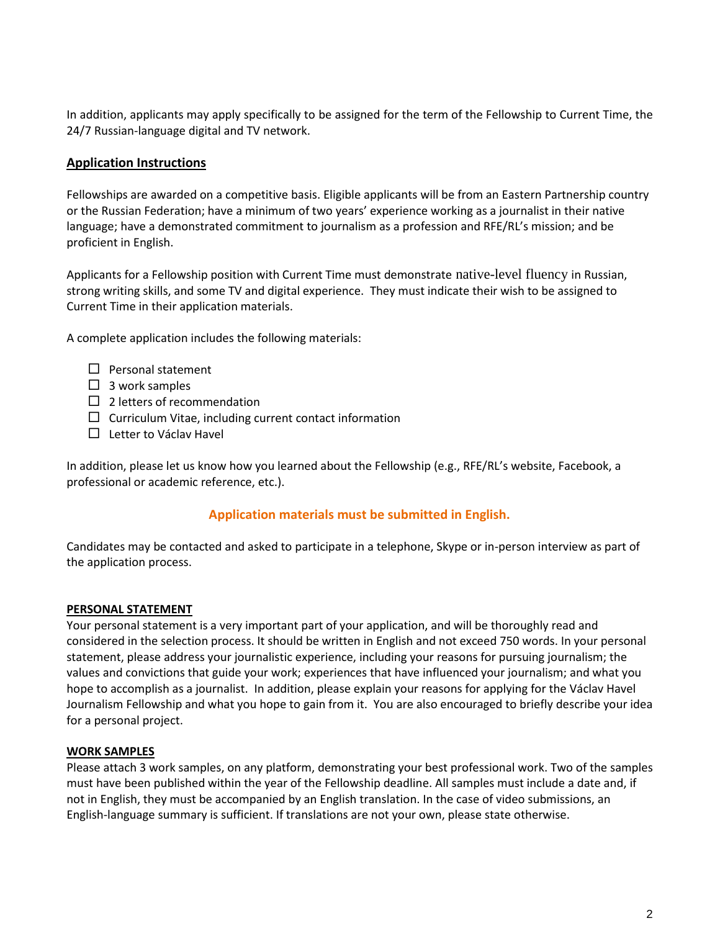In addition, applicants may apply specifically to be assigned for the term of the Fellowship to Current Time, the 24/7 Russian-language digital and TV network.

## **Application Instructions**

Fellowships are awarded on a competitive basis. Eligible applicants will be from an Eastern Partnership country or the Russian Federation; have a minimum of two years' experience working as a journalist in their native language; have a demonstrated commitment to journalism as a profession and RFE/RL's mission; and be proficient in English.

Applicants for a Fellowship position with Current Time must demonstrate native-level fluency in Russian, strong writing skills, and some TV and digital experience. They must indicate their wish to be assigned to Current Time in their application materials.

A complete application includes the following materials:

- $\Box$  Personal statement
- $\Box$  3 work samples
- $\Box$  2 letters of recommendation
- $\Box$  Curriculum Vitae, including current contact information
- $\Box$  Letter to Václav Havel

In addition, please let us know how you learned about the Fellowship (e.g., RFE/RL's website, Facebook, a professional or academic reference, etc.).

## **Application materials must be submitted in English.**

Candidates may be contacted and asked to participate in a telephone, Skype or in-person interview as part of the application process.

#### **PERSONAL STATEMENT**

Your personal statement is a very important part of your application, and will be thoroughly read and considered in the selection process. It should be written in English and not exceed 750 words. In your personal statement, please address your journalistic experience, including your reasons for pursuing journalism; the values and convictions that guide your work; experiences that have influenced your journalism; and what you hope to accomplish as a journalist. In addition, please explain your reasons for applying for the Václav Havel Journalism Fellowship and what you hope to gain from it. You are also encouraged to briefly describe your idea for a personal project.

#### **WORK SAMPLES**

Please attach 3 work samples, on any platform, demonstrating your best professional work. Two of the samples must have been published within the year of the Fellowship deadline. All samples must include a date and, if not in English, they must be accompanied by an English translation. In the case of video submissions, an English-language summary is sufficient. If translations are not your own, please state otherwise.